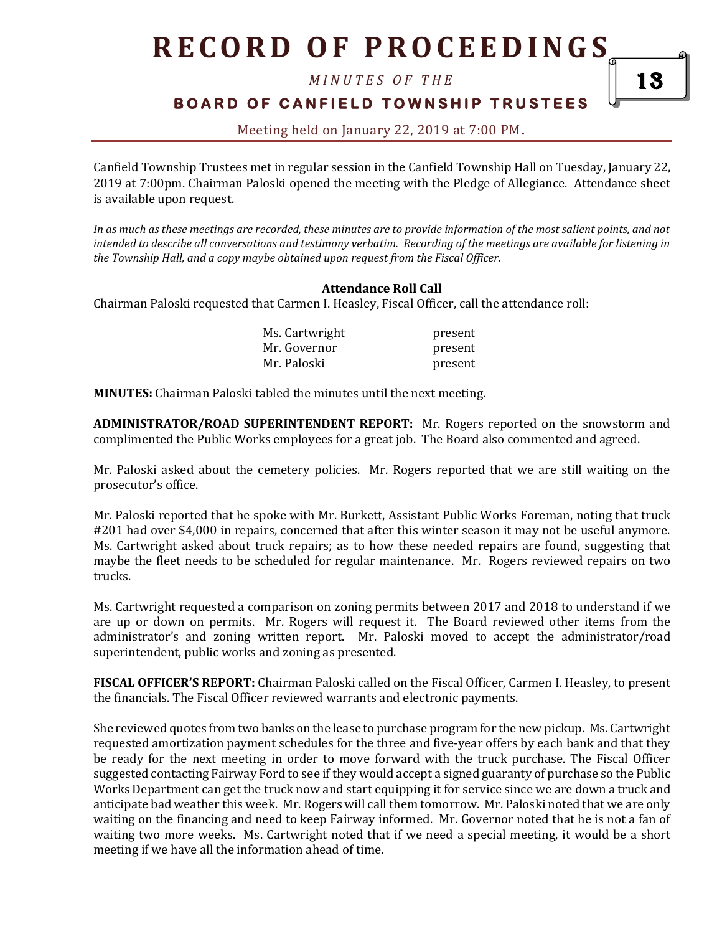*M I N U T E S O F T H E* 

### **BOARD OF CANFIELD TOWNSHIP TRUSTEES**

Meeting held on January 22, 2019 at 7:00 PM**.**

Canfield Township Trustees met in regular session in the Canfield Township Hall on Tuesday, January 22, 2019 at 7:00pm. Chairman Paloski opened the meeting with the Pledge of Allegiance. Attendance sheet is available upon request.

*In as much as these meetings are recorded, these minutes are to provide information of the most salient points, and not intended to describe all conversations and testimony verbatim. Recording of the meetings are available for listening in the Township Hall, and a copy maybe obtained upon request from the Fiscal Officer.* 

#### **Attendance Roll Call**

Chairman Paloski requested that Carmen I. Heasley, Fiscal Officer, call the attendance roll:

| Ms. Cartwright | present |
|----------------|---------|
| Mr. Governor   | present |
| Mr. Paloski    | present |

**MINUTES:** Chairman Paloski tabled the minutes until the next meeting.

**ADMINISTRATOR/ROAD SUPERINTENDENT REPORT:** Mr. Rogers reported on the snowstorm and complimented the Public Works employees for a great job. The Board also commented and agreed.

Mr. Paloski asked about the cemetery policies. Mr. Rogers reported that we are still waiting on the prosecutor's office.

Mr. Paloski reported that he spoke with Mr. Burkett, Assistant Public Works Foreman, noting that truck #201 had over \$4,000 in repairs, concerned that after this winter season it may not be useful anymore. Ms. Cartwright asked about truck repairs; as to how these needed repairs are found, suggesting that maybe the fleet needs to be scheduled for regular maintenance. Mr. Rogers reviewed repairs on two trucks.

Ms. Cartwright requested a comparison on zoning permits between 2017 and 2018 to understand if we are up or down on permits. Mr. Rogers will request it. The Board reviewed other items from the administrator's and zoning written report. Mr. Paloski moved to accept the administrator/road superintendent, public works and zoning as presented.

**FISCAL OFFICER'S REPORT:** Chairman Paloski called on the Fiscal Officer, Carmen I. Heasley, to present the financials. The Fiscal Officer reviewed warrants and electronic payments.

She reviewed quotes from two banks on the lease to purchase program for the new pickup. Ms. Cartwright requested amortization payment schedules for the three and five-year offers by each bank and that they be ready for the next meeting in order to move forward with the truck purchase. The Fiscal Officer suggested contacting Fairway Ford to see if they would accept a signed guaranty of purchase so the Public Works Department can get the truck now and start equipping it for service since we are down a truck and anticipate bad weather this week. Mr. Rogers will call them tomorrow. Mr. Paloski noted that we are only waiting on the financing and need to keep Fairway informed. Mr. Governor noted that he is not a fan of waiting two more weeks. Ms. Cartwright noted that if we need a special meeting, it would be a short meeting if we have all the information ahead of time.

13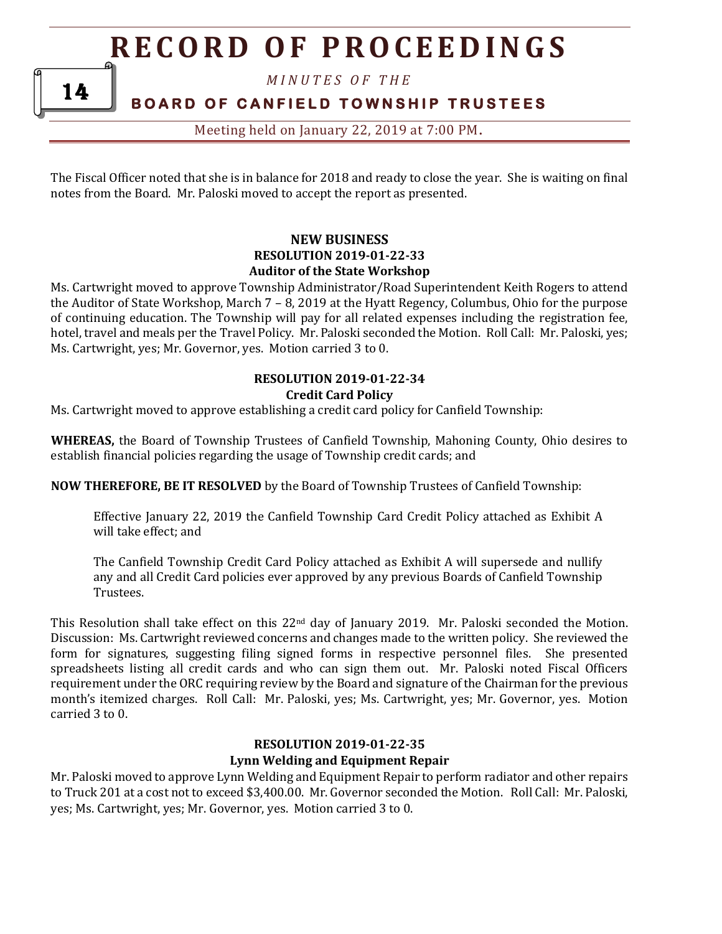*M I N U T E S O F T H E* 

**BOARD OF CANFIELD TOWNSHIP TRUSTEES** 

Meeting held on January 22, 2019 at 7:00 PM**.**

The Fiscal Officer noted that she is in balance for 2018 and ready to close the year. She is waiting on final notes from the Board. Mr. Paloski moved to accept the report as presented.

#### **NEW BUSINESS RESOLUTION 2019-01-22-33 Auditor of the State Workshop**

Ms. Cartwright moved to approve Township Administrator/Road Superintendent Keith Rogers to attend the Auditor of State Workshop, March 7 – 8, 2019 at the Hyatt Regency, Columbus, Ohio for the purpose of continuing education. The Township will pay for all related expenses including the registration fee, hotel, travel and meals per the Travel Policy. Mr. Paloski seconded the Motion. Roll Call: Mr. Paloski, yes; Ms. Cartwright, yes; Mr. Governor, yes. Motion carried 3 to 0.

### **RESOLUTION 2019-01-22-34 Credit Card Policy**

Ms. Cartwright moved to approve establishing a credit card policy for Canfield Township:

**WHEREAS,** the Board of Township Trustees of Canfield Township, Mahoning County, Ohio desires to establish financial policies regarding the usage of Township credit cards; and

**NOW THEREFORE, BE IT RESOLVED** by the Board of Township Trustees of Canfield Township:

Effective January 22, 2019 the Canfield Township Card Credit Policy attached as Exhibit A will take effect; and

The Canfield Township Credit Card Policy attached as Exhibit A will supersede and nullify any and all Credit Card policies ever approved by any previous Boards of Canfield Township Trustees.

This Resolution shall take effect on this 22nd day of January 2019. Mr. Paloski seconded the Motion. Discussion: Ms. Cartwright reviewed concerns and changes made to the written policy. She reviewed the form for signatures, suggesting filing signed forms in respective personnel files. She presented spreadsheets listing all credit cards and who can sign them out. Mr. Paloski noted Fiscal Officers requirement under the ORC requiring review by the Board and signature of the Chairman for the previous month's itemized charges. Roll Call: Mr. Paloski, yes; Ms. Cartwright, yes; Mr. Governor, yes. Motion carried 3 to 0.

#### **RESOLUTION 2019-01-22-35 Lynn Welding and Equipment Repair**

Mr. Paloski moved to approve Lynn Welding and Equipment Repair to perform radiator and other repairs to Truck 201 at a cost not to exceed \$3,400.00. Mr. Governor seconded the Motion. Roll Call: Mr. Paloski, yes; Ms. Cartwright, yes; Mr. Governor, yes. Motion carried 3 to 0.

14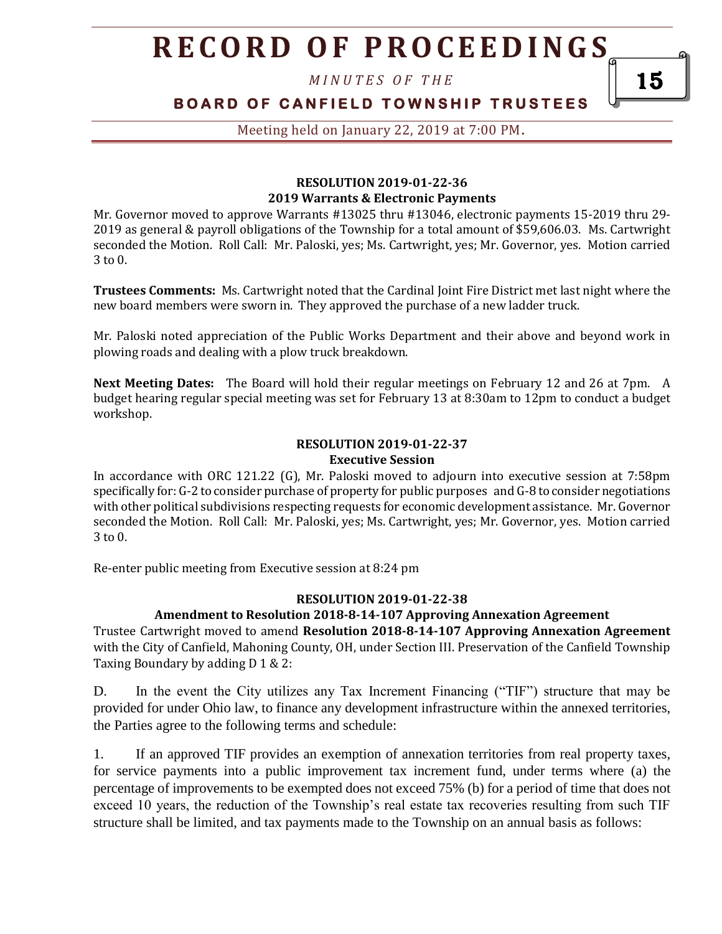*M I N U T E S O F T H E* 

### **BOARD OF CANFIELD TOWNSHIP TRUSTEES**

Meeting held on January 22, 2019 at 7:00 PM**.**

#### **RESOLUTION 2019-01-22-36 2019 Warrants & Electronic Payments**

Mr. Governor moved to approve Warrants #13025 thru #13046, electronic payments 15-2019 thru 29- 2019 as general & payroll obligations of the Township for a total amount of \$59,606.03. Ms. Cartwright seconded the Motion. Roll Call: Mr. Paloski, yes; Ms. Cartwright, yes; Mr. Governor, yes. Motion carried 3 to 0.

**Trustees Comments:** Ms. Cartwright noted that the Cardinal Joint Fire District met last night where the new board members were sworn in. They approved the purchase of a new ladder truck.

Mr. Paloski noted appreciation of the Public Works Department and their above and beyond work in plowing roads and dealing with a plow truck breakdown.

**Next Meeting Dates:** The Board will hold their regular meetings on February 12 and 26 at 7pm. A budget hearing regular special meeting was set for February 13 at 8:30am to 12pm to conduct a budget workshop.

#### **RESOLUTION 2019-01-22-37 Executive Session**

In accordance with ORC 121.22 (G), Mr. Paloski moved to adjourn into executive session at 7:58pm specifically for: G-2 to consider purchase of property for public purposes and G-8 to consider negotiations with other political subdivisions respecting requests for economic development assistance. Mr. Governor seconded the Motion. Roll Call: Mr. Paloski, yes; Ms. Cartwright, yes; Mr. Governor, yes. Motion carried 3 to 0.

Re-enter public meeting from Executive session at 8:24 pm

#### **RESOLUTION 2019-01-22-38**

#### **Amendment to Resolution 2018-8-14-107 Approving Annexation Agreement**

Trustee Cartwright moved to amend **Resolution 2018-8-14-107 Approving Annexation Agreement**  with the City of Canfield, Mahoning County, OH, under Section III. Preservation of the Canfield Township Taxing Boundary by adding D 1 & 2:

D. In the event the City utilizes any Tax Increment Financing ("TIF") structure that may be provided for under Ohio law, to finance any development infrastructure within the annexed territories, the Parties agree to the following terms and schedule:

1. If an approved TIF provides an exemption of annexation territories from real property taxes, for service payments into a public improvement tax increment fund, under terms where (a) the percentage of improvements to be exempted does not exceed 75% (b) for a period of time that does not exceed 10 years, the reduction of the Township's real estate tax recoveries resulting from such TIF structure shall be limited, and tax payments made to the Township on an annual basis as follows:

15